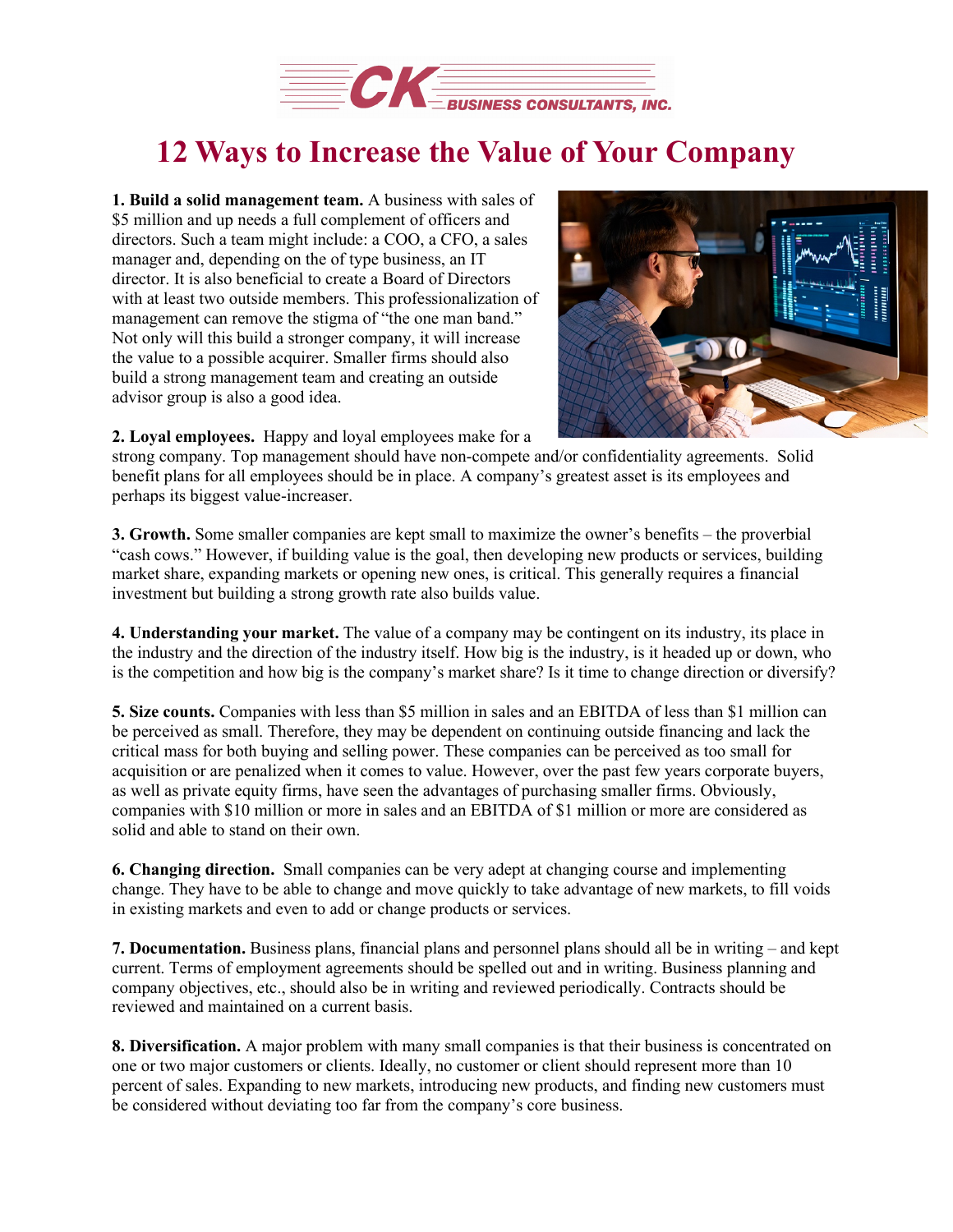

## **12 Ways to Increase the Value of Your Company**

**1. Build a solid management team.** A business with sales of \$5 million and up needs a full complement of officers and directors. Such a team might include: a COO, a CFO, a sales manager and, depending on the of type business, an IT director. It is also beneficial to create a Board of Directors with at least two outside members. This professionalization of management can remove the stigma of "the one man band." Not only will this build a stronger company, it will increase the value to a possible acquirer. Smaller firms should also build a strong management team and creating an outside advisor group is also a good idea.



**2. Loyal employees.** Happy and loyal employees make for a

strong company. Top management should have non-compete and/or confidentiality agreements. Solid benefit plans for all employees should be in place. A company's greatest asset is its employees and perhaps its biggest value-increaser.

**3. Growth.** Some smaller companies are kept small to maximize the owner's benefits – the proverbial "cash cows." However, if building value is the goal, then developing new products or services, building market share, expanding markets or opening new ones, is critical. This generally requires a financial investment but building a strong growth rate also builds value.

**4. Understanding your market.** The value of a company may be contingent on its industry, its place in the industry and the direction of the industry itself. How big is the industry, is it headed up or down, who is the competition and how big is the company's market share? Is it time to change direction or diversify?

**5. Size counts.** Companies with less than \$5 million in sales and an EBITDA of less than \$1 million can be perceived as small. Therefore, they may be dependent on continuing outside financing and lack the critical mass for both buying and selling power. These companies can be perceived as too small for acquisition or are penalized when it comes to value. However, over the past few years corporate buyers, as well as private equity firms, have seen the advantages of purchasing smaller firms. Obviously, companies with \$10 million or more in sales and an EBITDA of \$1 million or more are considered as solid and able to stand on their own.

**6. Changing direction.** Small companies can be very adept at changing course and implementing change. They have to be able to change and move quickly to take advantage of new markets, to fill voids in existing markets and even to add or change products or services.

**7. Documentation.** Business plans, financial plans and personnel plans should all be in writing – and kept current. Terms of employment agreements should be spelled out and in writing. Business planning and company objectives, etc., should also be in writing and reviewed periodically. Contracts should be reviewed and maintained on a current basis.

**8. Diversification.** A major problem with many small companies is that their business is concentrated on one or two major customers or clients. Ideally, no customer or client should represent more than 10 percent of sales. Expanding to new markets, introducing new products, and finding new customers must be considered without deviating too far from the company's core business.